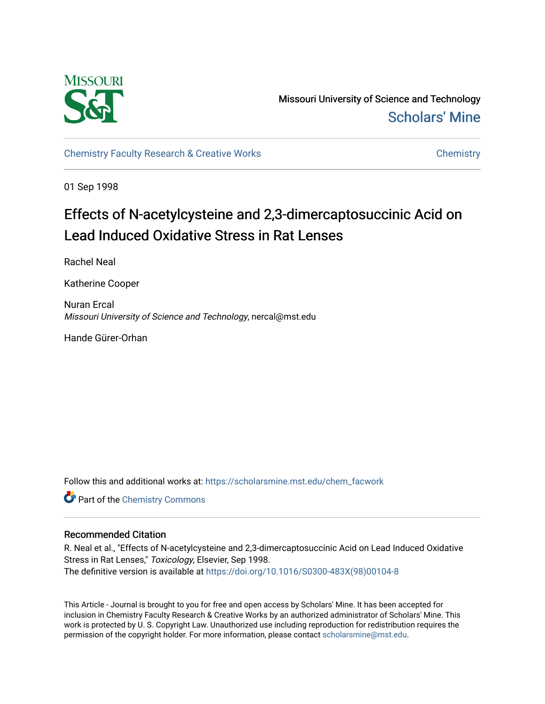

Missouri University of Science and Technology [Scholars' Mine](https://scholarsmine.mst.edu/) 

[Chemistry Faculty Research & Creative Works](https://scholarsmine.mst.edu/chem_facwork) [Chemistry](https://scholarsmine.mst.edu/chem) Chemistry

01 Sep 1998

## Effects of N-acetylcysteine and 2,3-dimercaptosuccinic Acid on Lead Induced Oxidative Stress in Rat Lenses

Rachel Neal

Katherine Cooper

Nuran Ercal Missouri University of Science and Technology, nercal@mst.edu

Hande Gürer-Orhan

Follow this and additional works at: [https://scholarsmine.mst.edu/chem\\_facwork](https://scholarsmine.mst.edu/chem_facwork?utm_source=scholarsmine.mst.edu%2Fchem_facwork%2F2408&utm_medium=PDF&utm_campaign=PDFCoverPages)

**Part of the Chemistry Commons** 

#### Recommended Citation

R. Neal et al., "Effects of N-acetylcysteine and 2,3-dimercaptosuccinic Acid on Lead Induced Oxidative Stress in Rat Lenses," Toxicology, Elsevier, Sep 1998. The definitive version is available at [https://doi.org/10.1016/S0300-483X\(98\)00104-8](https://doi.org/10.1016/S0300-483X(98)00104-8)

This Article - Journal is brought to you for free and open access by Scholars' Mine. It has been accepted for inclusion in Chemistry Faculty Research & Creative Works by an authorized administrator of Scholars' Mine. This work is protected by U. S. Copyright Law. Unauthorized use including reproduction for redistribution requires the permission of the copyright holder. For more information, please contact [scholarsmine@mst.edu](mailto:scholarsmine@mst.edu).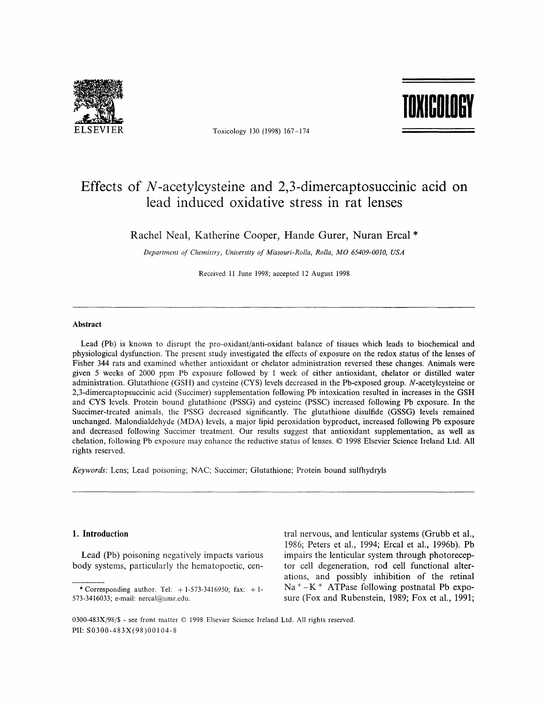

Toxicology 130 (1998) 167-174

# ruil <mark>Toxicology</mark>

### Effects of  $N$ -acetylcysteine and 2,3-dimercaptosuccinic acid on lead induced oxidative stress in rat lenses

Rachel Neal, Katherine Cooper, Hande Gurer, Nuran Ercal \*

Department of Chemistry, Uniuersity of Missouri-Rolla, Rolla, MO 65409-0010, USA

Received ll June 1998; accepted 12 August 1998

#### Abstract

Lead (Pb) is known to disrupt the pro-oxidant/anti-oxidant balance of tissues which leads to biochemical and physiological dysfunction. The present study investigated the effects of exposure on the redox status of the lenses of Fisher 344 rats and examined whether antioxidant or chelator administration reversed these changes. Animals were given 5 weeks of 2000 ppm Pb exposure followed by I week of either antioxidant, chelator or distilled water administration. Glutathione (GSH) and cysteine (CYS) levels decreased in the Pb-exposed group. N-acetylcysteine or 2,3-dimercaptopsuccinie acid (Succimer) supplementation following Pb intoxication resulted in increases in the GSH and CYS levels. Protein bound glutathione (PSSG) and cysteine (PSSC) increased following Pb exposure. In the Succimer-treated animals, the PSSG decreased significantly. The glutathione disulfide (GSSG) levels remained unchanged. Malondialdehyde (MDA) levels, a major lipid peroxidation byproduct, increased following Pb exposure and decreased following Succimer treatment. Our results suggest that antioxidant supplementation, as well as chelation, following Pb exposure may enhance the reductive status of lenses. @ 1998 Elsevier Science Ireland Ltd. All rights reserved.

Keywords: Lens; Lead poisoning; NAC; Succimer; Glutathione; Protein bound sulfhydryls

#### 1. Introduction

Lead (Pb) poisoning negatively impacts various body systerns, particularly the hematopoetic, central nervous, and lenticular systems (Grubb et al., 1986; Peters et al., 1994; Ercal et al., 1996b). Pb impairs the lenticular system through photoreceptor cell degeneration, rod cell functional alterations, and possibly inhibition of the retinal  $Na<sup>+</sup> - K<sup>+</sup>$  ATPase following postnatal Pb exposure (Fox and Rubenstein, 1989; Fox et al., 1991;

0300-483X/98/S - see front matter @ 1998 Elsevier Science Ireland Ltd. All rights reserved. PII: S0300-483X(98)00 I 04-8

<sup>\*</sup> Corresponding author. Tel:  $+1-573-3416950$ ; fax:  $+1-$ 57 3 -3416033; e-mail: nercal@umr.edu.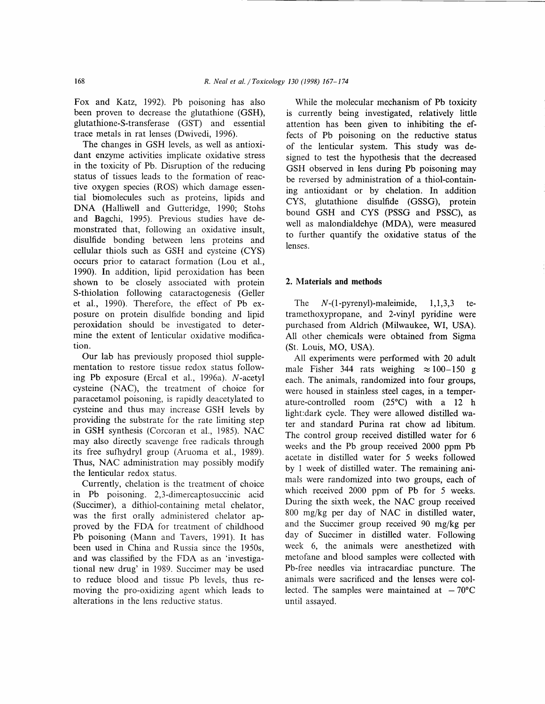Fox and Katz, 1992). Pb poisoning has also been proven to decrease the glutathione (GSH), glutathione-S-transferase (GST) and essential trace metals in rat lenses (Dwivedi, 1996).

The changes in GSH levels, as well as antioxidant enzyme activities implicate oxidative stress in the toxicity of Pb. Disruption of the reducing status of tissues leads to the formation of reactive oxygen species (ROS) which damage essential biomolecules such as proteins, lipids and DNA (Halliwell and Gutteridge, 1990; Stohs and Bagchi, 1995). Previous studies have demonstrated that, following an oxidative insult, disulfide bonding between lens proteins and cellular thiols such as GSH and cysteine (CYS) occurs prior to cataract formation (Lou et a1., 1990). In addition, lipid peroxidation has been shown to be closely associated with protein S-thiolation following cataractogenesis (Geller et al., 1990). Therefore, the effect of Pb exposure on protein disulfide bonding and lipid peroxidation should be investigated to determine the extent of lenticular oxidative modification.

Our lab has previously proposed thiol supplementation to restore tissue redox status following Pb exposure (Ercal et al., 1996a). N-acetyl cysteine (NAC), the treatment of choice for paracetamol poisoning, is rapidly deacetylated to cysteine and thus may increase GSH levels by providing the substrate for the rate limiting step in GSH synthesis (Corcoran et al., 1985). NAC may also directly scavenge free radicals through its free sufhydryl group (Aruoma et al., 1989). Thus, NAC administration may possibly modify the lenticular redox status.

Currently, chelation is the treatment of choice in Pb poisoning. 2,3-dimercaptosuccinic acid (Succimer), a dithiol-containing metal chelator, was the first orally administered chelator approved by the FDA for treatment of childhood Pb poisoning (Mann and Tavers, 1991). It has been used in China and Russia since the 1950s, and was classified by the FDA as an 'investigational new drug' in 1989. Succimer may be used to reduce blood and tissue Pb levels, thus removing the pro-oxidizing agent which leads to alterations in the lens reductive status.

While the molecular mechanism of Pb toxicity is currently being investigated, relatively little attention has been given to inhibiting the effects of Pb poisoning on the reductive status of the lenticular system. This study was designed to test the hypothesis that the decreased GSH observed in lens during Pb poisoning may be reversed by administration of a thiol-containing antioxidant or by chelation. In addition CYS, glutathione disulfide (GSSG), protein bound GSH and CYS (PSSG and PSSC), as well as malondialdehye (MDA), were measured to further quantify the oxidative status of the lenses.

#### 2. Materials and methods

The  $N-(1-pyrenyl)$ -maleimide,  $1,1,3,3$  tetramethoxypropane, and 2-vinyl pyridine were purchased from Aldrich (Milwaukee, WI, USA). All other chemicals were obtained from Sigma (St. Louis, MO, USA).

All experiments were performed with 20 adult male Fisher 344 rats weighing  $\approx 100-150$  g each. The animals, randomized into four groups, were housed in stainless steel cages, in a temperature-controlled room (25"C) with a 12 h light:dark cycle. They were allowed distilled water and standard Purina rat chow ad libitum. The control group received distilled water for 6 weeks and the Pb group received 2000 ppm Pb acetate in distilled water for 5 weeks followed by I week of distilled water. The remaining animals were randomized into two groups, each of which received 2000 ppm of Pb for 5 weeks. During the sixth week, the NAC group received 800 mg/kg per day of NAC in distilled water, and the Succimer group received 90 mg/kg per day of Succimer in distilled water. Following week 6, the animals were anesthetized with metofane and blood samples were collected with Pb-free needles via intracardiac puncture. The animals were sacrificed and the lenses were collected. The samples were maintained at  $-70^{\circ}$ C until assayed.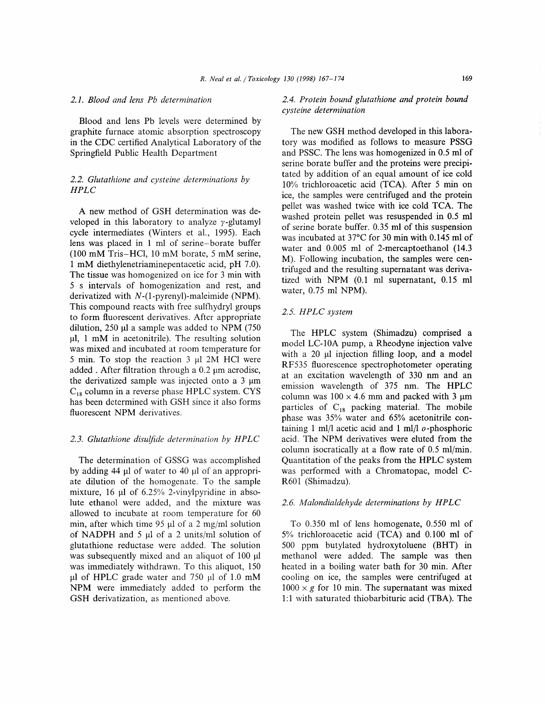#### 2.1. Blood and lens Pb determination

Blood and lens Pb levels were determined by graphite furnace atomic absorption spectroscopy in the CDC certified Analytical Laboratory of the Springfield Public Health Department

#### 2.2. Glutathione and cvsteine determinations bv HPLC

A new method of GSH determination was developed in this laboratory to analyze  $\gamma$ -glutamyl cycle intermediates (Winters et al., 1995). Each lens was placed in I ml of serine-borate buffer (100 mM Tris-HCl, l0 mM borate, 5 mM serine, 1 mM diethylenetriaminepentacetic acid, pH 7.0). The tissue was homogenized on ice for 3 min with 5 s intervals of homogenization and rest, and derivatized with N-(l-pyrenyl)-maleimide (NPM). This compound reacts with free sulfhydryl groups to form fluorescent derivatives. After appropriate dilution,  $250 \mu l$  a sample was added to NPM (750)  $\mu$ l, 1 mM in acetonitrile). The resulting solution was mixed and incubated at room temperature for 5 min. To stop the reaction 3 µl 2M HCl were added . After filtration through a  $0.2 \mu$ m acrodisc, the derivatized sample was injected onto a  $3 \mu m$  $C_{18}$  column in a reverse phase HPLC system. CYS has been determined with GSH since it also forms fluorescent NPM derivatives.

#### 2.3. Glutathione disulfide determination bv HPLC

The determination of GSSG was accomplished by adding 44 pl of water to 40 pl of an appropriate dilution of the homogenate. To the sample mixture, 16  $\mu$ l of 6.25% 2-vinylpyridine in absolute ethanol were added, and the mixture was allowed to incubate at room temperature for 60 min, after which time 95  $\mu$ l of a 2 mg/ml solution of NADPH and 5  $\mu$ l of a 2 units/ml solution of glutathione reductase were added. The solution was subsequently mixed and an aliquot of 100  $\mu$ l was immediately withdrawn. To this aliquot, 150  $\mu$ l of HPLC grade water and 750  $\mu$ l of 1.0 mM NPM were immediately added to perform the GSH derivatization, as mentioned above.

#### 2.4. Protein bound glutathione and protein bound cysteine determination

The new GSH method developed in this laboratory was modified as follows to measure PSSG and PSSC. The lens was homogenized in 0.5 ml of serine borate buffer and the proteins were precipitated by addition of an equal amount of ice cold  $10\%$  trichloroacetic acid (TCA). After 5 min on ice, the samples were centrifuged and the protein pellet was washed twice with ice cold TCA. The washed protein pellet was resuspended in 0.5 ml of serine borate buffer. 0.35 ml of this suspension was incubated at  $37^{\circ}$ C for 30 min with 0.145 ml of water and 0.005 ml of 2-mercaptoethanol (14.3 M). Following incubation, the samples were centrifuged and the resulting supernatant was derivatized with NPM (0.1 ml supernatant, 0.15 ml water, 0.75 ml NPM).

#### 2.5. HPLC system

The HPLC system (Shimadzu) comprised a model LC-10A pump, a Rheodyne injection valve with a 20 µl injection filling loop, and a model RF535 fluorescence spectrophotometer operating at an excitation wavelength of 330 nm and an emission wavelength of 375 nm. The HPLC column was  $100 \times 4.6$  mm and packed with 3  $\mu$ m particles of  $C_{18}$  packing material. The mobile phase was 35% water and 65% acetonitrile containing 1 ml/l acetic acid and 1 ml/l  $o$ -phosphoric acid. The NPM derivatives were eluted from the column isocratically at a flow rate of  $0.5$  ml/min. Quantitation of the peaks from the HPLC system was performed with a Chromatopac, model C-R601 (Shimadzu).

#### 2.6. Malondialdehyde determinations by HPLC

To 0.350 ml of lens homogenate, 0.550 ml of  $5\%$  trichloroacetic acid (TCA) and 0.100 ml of 500 ppm butylated hydroxytoluene (BHT) in methanol were added. The sample was then heated in a boiling water bath for 30 min. After cooling on ice, the samples were centrifuged at  $1000 \times g$  for 10 min. The supernatant was mixed l:l with saturated thiobarbituric acid (TBA). The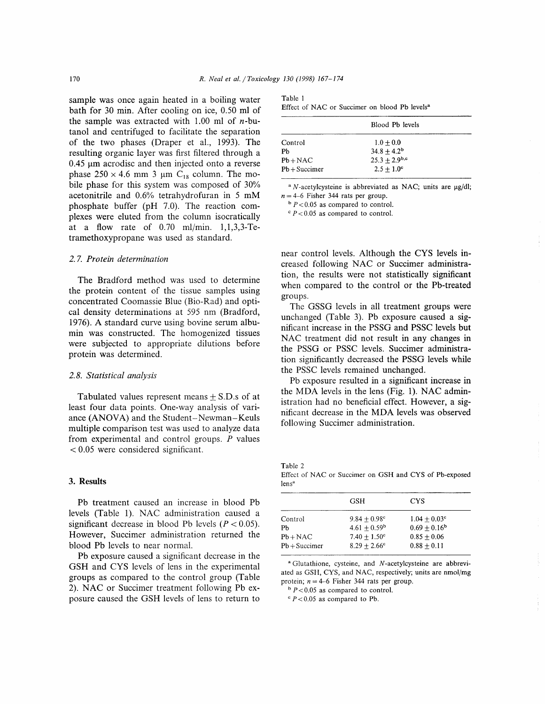sample was once again heated in a boiling water bath for 30 min. After cooling on ice, 0.50 ml of the sample was extracted with  $1.00$  ml of *n*-butanol and centrifuged to facilitate the separation of the two phases (Draper et al., 1993). The resulting organic layer was first filtered through a  $0.45 \mu m$  acrodisc and then injected onto a reverse phase  $250 \times 4.6$  mm 3 µm C<sub>18</sub> column. The mobile phase for this system was composed of 30% acetonitrile and 0.6% tetrahydrofuran in 5 mM phosphate buffer (pH 7.0). The reaction complexes were eluted from the column isocratically at a flow rate of  $0.70$  ml/min.  $1,1,3,3$ -Tetramethoxypropane was used as standard.

#### 2.7. Protein determination

The Bradford method was used to determine the protein content of the tissue samples using concentrated Coomassie Blue (Bio-Rad) and optical density determinations at 595 nm (Bradford, 1976). A standard curve using bovine serum albumin was constructed. The homogenized tissues were subjected to appropriate dilutions before protein was determined.

#### 2.8. Statistical analvsis

Tabulated values represent means  $\pm$  S.D.s of at least four data points. One-way analysis of variance (ANOVA) and the Student-Newman-Keuls multiple comparison test was used to analyze data from experimental and control groups. P values  $< 0.05$  were considered significant.

#### 3. Results

Pb treatment caused an increase in blood Pb levels (Table l). NAC administration caused a significant decrease in blood Pb levels ( $P < 0.05$ ). However, Succimer administration returned the blood Pb levels to near normal.

Pb exposure caused a significant decrease in the GSH and CYS levels of lens in the experimental groups as compared to the control group (Table 2). NAC or Succimer treatment following Pb exposure caused the GSH levels of lens to return to

| Table 1 |  |                                                           |  |  |  |
|---------|--|-----------------------------------------------------------|--|--|--|
|         |  | Effect of NAC or Succimer on blood Pb levels <sup>a</sup> |  |  |  |

|                 | Blood Pb levels     |  |  |
|-----------------|---------------------|--|--|
| Control         | $1.0 + 0.0$         |  |  |
| Ph              | $34.8 + 4.2^b$      |  |  |
| $Pb + NAC$      | $25.3 + 2.9^{b,c}$  |  |  |
| $Pb + Succimer$ | $2.5 + 1.0^{\circ}$ |  |  |

 $N$ -acetylcysteine is abbreviated as NAC; units are  $\mu$ g/dl;  $n=4-6$  Fisher 344 rats per group.

 $b$  P < 0.05 as compared to control.

 $P < 0.05$  as compared to control.

near control levels. Although the CYS levels increased following NAC or Succimer administration, the results were not statistically signiflcant when compared to the control or the Pb-treated groups.

The GSSG levels in all treatment groups were unchanged (Table 3). Pb exposure caused a significant increase in the PSSG and PSSC levels but NAC treatment did not result in any changes in the PSSG or PSSC levels. Succimer administration significantly decreased the PSSG levels while the PSSC levels remained unchanged.

Pb exposure resulted in a significant increase in the MDA levels in the lens (Fig. 1). NAC administration had no beneficial effect. However, a significant decrease in the MDA levels was observed following Succimer administration.

Table 2 Effect of NAC or Succimer on GSH and CYS of Pb-exposed lens"

|                 | GSH                   | CYS                   |  |
|-----------------|-----------------------|-----------------------|--|
| Control         | $9.84 + 0.98^{\circ}$ | $1.04 + 0.03^{\circ}$ |  |
| Ph              | $4.61 + 0.59^{\rm b}$ | $0.69 + 0.16^b$       |  |
| $Pb + NAC$      | $7.40 + 1.50^{\circ}$ | $0.85 + 0.06$         |  |
| $Pb + Succimer$ | $8.29 + 2.66^{\circ}$ | $0.88 + 0.11$         |  |

<sup>a</sup> Glutathione, cysteine, and *N*-acetylcysteine are abbreviated as GSH, CYS, and NAC, respectively; units are nmol/mg protein;  $n=4-6$  Fisher 344 rats per group.

 $b$  P < 0.05 as compared to control.

 $\degree$  P < 0.05 as compared to Pb.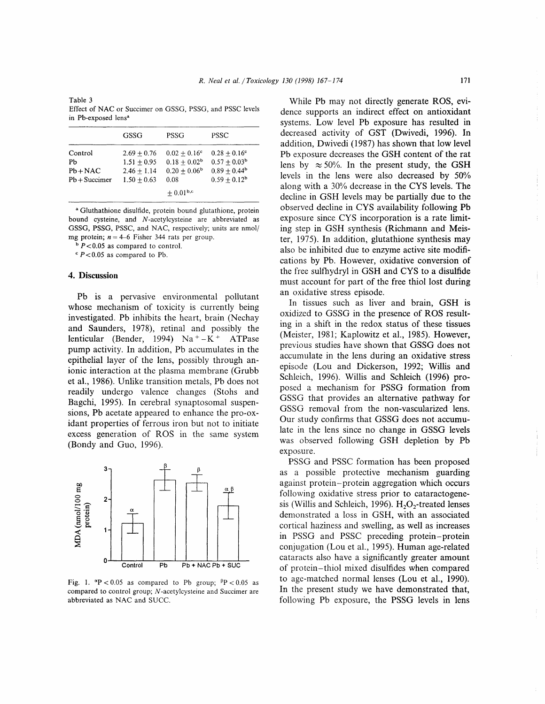Table 3 Effect of NAC or Succimer on GSSG, PSSG, and PSSC levels in Pb-exposed lens<sup>a</sup>

|                                                | GSSG                                                             | PSSG                                                                     | <b>PSSC</b>                                                                         |
|------------------------------------------------|------------------------------------------------------------------|--------------------------------------------------------------------------|-------------------------------------------------------------------------------------|
| Control<br>Pb<br>$Pb + NAC$<br>$Pb + Succimer$ | $2.69 + 0.76$<br>$1.51 + 0.95$<br>$2.46 + 1.14$<br>$1.50 + 0.63$ | $0.02 + 0.16$ <sup>c</sup><br>$0.18 + 0.02^b$<br>$0.20 + 0.06^b$<br>0.08 | $0.28 + 0.16$ <sup>c</sup><br>$0.57 + 0.03^b$<br>$0.89 + 0.44^b$<br>$0.59 + 0.12^b$ |
|                                                |                                                                  | $\pm 0.01^{\rm b,c}$                                                     |                                                                                     |

<sup>a</sup> Gluthathione disulfide, protein bound glutathione, protein bound cysteine, and N-acetylcysteine are abbreviated as GSSG, PSSG, PSSC, and NAC, respectively; units are nmol/ mg protein;  $n=4-6$  Fisher 344 rats per group.

 $b$  P < 0.05 as compared to control.

 $\degree$  P < 0.05 as compared to Pb.

#### 4. Discussion

Pb is a pervasive environmental pollutant whose mechanism of toxicity is currently being investigated. Pb inhibits the heart, brain (Nechay and Saunders, 1978), retinal and possibly the lenticular (Bender, 1994)  $Na^+ - K^+$  ATPase pump activity. In addition, Pb accumulates in the epithelial layer of the lens, possibly through anionic interaction at the plasma membrane (Grubb et al., 1986). Unlike transition metals, Pb does not readily undergo valence changes (Stohs and Bagchi, 1995). In cerebral synaptosomal suspensions, Pb acetate appeared to enhance the pro-oxidant properties of ferrous iron but not to initiate excess generation of ROS in the same system (Bondy and Guo, 1996).



Fig. 1.  ${}^{\alpha}P < 0.05$  as compared to Pb group;  ${}^{\beta}P < 0.05$  as compared to control group; N-acetylcysteine and Succimer are abbreviated as NAC and SUCC.

While Pb may not directly generate ROS, evidence supports an indirect effect on antioxidant systems. Low level Pb exposure has resulted in decreased activity of GST (Dwivedi, 1996). In addition, Dwivedi (1987) has shown that low level Pb exposure decreases the GSH content of the rat lens by  $\approx 50\%$ . In the present study, the GSH levels in the lens were also decreased by 50% along with a 30% decrease in the CYS levels. The decline in GSH levels may be partially due to the observed decline in CYS availability following Pb exposure since CYS incorporation is a rate limiting step in GSH synthesis (Richmann and Meister, 1975). In addition, glutathione synthesis may also be inhibited due to enzyme active site modifications by Pb. However, oxidative conversion of the free sulfhydryl in GSH and CYS to a disulfide must account for part of the free thiol lost during an oxidative stress episode.

In tissues such as liver and brain, GSH is oxidized to GSSG in the presence of ROS resulting in a shift in the redox status of these tissues (Meister, 1981; Kaplowitz et al., 1985). However, previous studies have shown that GSSG does not accumulate in the lens during an oxidative stress episode (Lou and Dickerson, 1992; Willis and Schleich, 1996). Willis and Schleich (1996) proposed a mechanism for PSSG formation from GSSG that provides an alternative pathway for GSSG removal from the non-vascularized lens. Our study confirms that GSSG does not accumulate in the lens since no change in GSSG levels was observed following GSH depletion by Pb exposure.

PSSG and PSSC formation has been proposed as a possible protective mechanism guarding against protein-protein aggregation which occurs following oxidative stress prior to cataractogenesis (Willis and Schleich, 1996).  $H_2O_2$ -treated lenses demonstrated a loss in GSH, with an associated cortical haziness and swelling, as well as increases in PSSG and PSSC preceding protein-protein conjugation (Lou et al., 1995). Human age-related cataracts also have a significantly greater amount of protein-thiol mixed disulfides when compared to age-matched normal lenses (Lou et al., 1990). In the present study we have demonstrated that, following Pb exposure, the PSSG levels in lens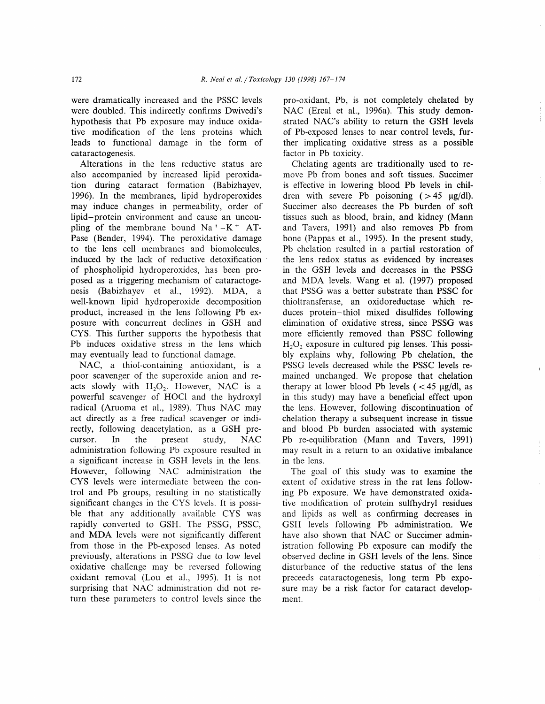were dramatically increased and the PSSC levels were doubled. This indirectly confirms Dwivedi's hypothesis that Pb exposure may induce oxidative modification of the lens proteins which leads to functional damage in the form of cataractogenesis.

Alterations in the lens reductive status are also accompanied by increased lipid peroxidation during cataract formation (Babizhayev, 1996). In the membranes, lipid hydroperoxides may induce changes in permeability, order of lipid-protein environment and cause an uncoupling of the membrane bound  $Na^+ - K^+$  AT-Pase (Bender, 1994). The peroxidative damage to the lens cell membranes and biomolecules, induced by the lack of reductive detoxification of phospholipid hydroperoxides, has been proposed as a triggering mechanism of cataractogenesis (Babizhayev et al., 1992). MDA, a well-known lipid hydroperoxide decomposition product, increased in the lens following Pb exposure with concurrent declines in GSH and CYS. This further supports the hypothesis that Pb induces oxidative stress in the lens which may eventually lead to functional damage.

NAC, a thiol-containing antioxidant, is a poor scavenger of the superoxide anion and reacts slowly with  $H_2O_2$ . However, NAC is a powerful scavenger of HOCI and the hydroxyl radical (Aruoma et a1., 1989). Thus NAC may act directly as a free radical scavenger or indirectly, following deacetylation, as a GSH precursor. In the present study, NAC administration following Pb exposure resulted in a significant increase in GSH levels in the lens. However, following NAC administration the CYS levels were intermediate between the control and Pb groups, resulting in no statistically significant changes in the CYS levels. It is possible that any additionally available CYS was rapidly converted to GSH. The PSSG, PSSC, and MDA levels were not significantly different from those in the Pb-exposed lenses. As noted previously, alterations in PSSG due to low level oxidative challenge may be reversed following oxidant removal (Lou et al., 1995). It is not surprising that NAC administration did not return these parameters to control levels since the pro-oxidant, Pb, is not completely chelated by NAC (Ercal et al., 1996a). This study demonstrated NAC's ability to return the GSH levels of Pb-exposed lenses to near control levels, further implicating oxidative stress as a possible factor in Pb toxicity.

Chelating agents are traditionally used to remove Pb from bones and soft tissues. Succimer is effective in lowering blood Pb levels in children with severe Pb poisoning  $( > 45 \text{ µg/dl}).$ Succimer also decreases the Pb burden of soft tissues such as blood, brain, and kidney (Mann and Tavers, 1991) and also removes Pb from bone (Pappas et a1., 1995). In the present study, Pb chelation resulted in a partial restoration of the lens redox status as evidenced by increases in the GSH levels and decreases in the PSSG and MDA levels. Wang et al. (1997) proposed that PSSG was a better substrate than PSSC for thioltransferase, an oxidoreductase which reduces protein-thiol mixed disulfides following elimination of oxidative stress, since PSSG was more efficiently removed than PSSC following  $H<sub>2</sub>O<sub>2</sub>$  exposure in cultured pig lenses. This possibly explains why, following Pb chelation, the PSSG levels decreased while the PSSC levels remained unchanged. We propose that chelation therapy at lower blood Pb levels  $\zeta$  < 45 µg/dl, as in this study) may have a beneficial effect upon the lens. However, following discontinuation of chelation therapy a subsequent increase in tissue and blood Pb burden associated with systemic Pb re-equilibration (Mann and Tavers, 1991) may result in a return to an oxidative imbalance in the lens.

The goal of this study was to examine the extent of oxidative stress in the rat lens following Pb exposure. We have demonstrated oxidative modification of protein sulfhydryl residues and lipids as well as confirming decreases in GSH levels following Pb administration. We have also shown that NAC or Succimer administration following Pb exposure can modify the observed decline in GSH levels of the lens. Since disturbance of the reductive status of the lens preceeds cataractogenesis, long term Pb exposure may be a risk factor for cataract development.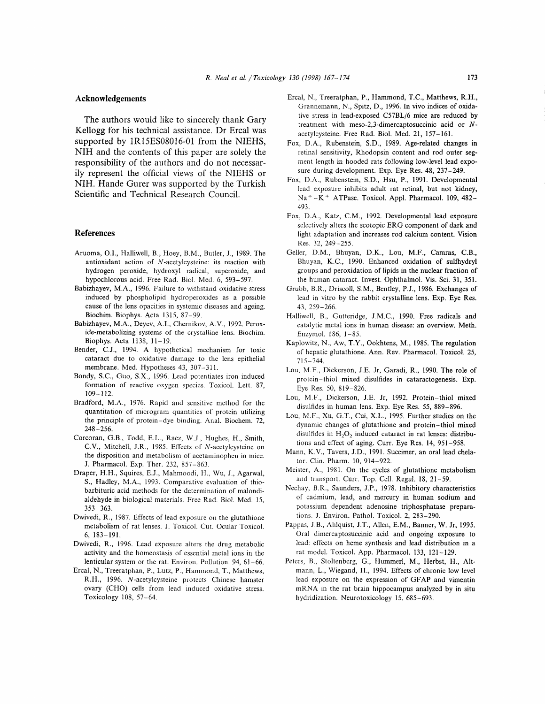#### Acknowledgements

The authors would like to sincerely thank Gary Kellogg for his technical assistance. Dr Ercal was supported by 1R15ES08016-01 from the NIEHS, NIH and the contents of this paper are solely the responsibility of the authors and do not necessarily represent the official views of the NIEHS or NIH. Hande Gurer was supported by the Turkish Scientific and Technical Research Council.

#### References

- Aruoma, O.I., Halliwell, 8., Hoey, 8.M., Butler, J., 1989. The antioxidant action of N-acetylcysteine: its reaction with hydrogen peroxide, hydroxyl radical, superoxide, and hypochlorous acid. Free Rad. Biol. Med. 6, 593-591.
- Babizhayev, M.A., 1996. Failure to withstand oxidative stress induced by phospholipid hydroperoxides as a possible cause of the lens opacities in systemic diseases and ageing. Biochim. Biophys. Acta 1315, 87-99.
- Babizhayev, M.A., Deyev, A.I., Chernikov, A.V., 1992. Peroxide-metabolizing systems of the crystalline lens. Biochim. Biophys. Acta 1138, 11-19.
- Bender, C.J., 1994. A hypothetical mechanism for toxic cataract due to oxidative damage to the lens epithelial membrane. Med. Hypotheses 43, 307-311.
- Bondy, S.C., Guo, S.X., 1996. Lead potentiates iron induced formation of reactive oxygen species. Toxicol. Lett. 87,  $109 - 112$ .
- Bradford, M.A., 1976. Rapid and sensitive method for the quantitation of microgram quantities of protein utilizing the principle of protein-dye binding. Anal. Biochem. 72, 248-2s6.
- Corcoran, G.B., Todd, 8.L., Racz, W.J., Hughes, H., Smith, C.V., Mitchell, J.R., 1985. Effects of N-acetylcysteine on the disposition and metabolism of acetaminophen in mice. J. Pharmacol. Exp. Ther. 232,857-863.
- Draper, H.H., Squires, E.J., Mahmoodi, H., Wu, J., Agarwal, S., Hadley, M.A., 1993. Comparative evaluation of thiobarbituric acid methods for the determination of malondialdehyde in biological materials. Free Rad. Biol. Med. 15,  $353 - 363$ .
- Dwivedi, R., 1987. Effects of lead exposure on the glutathione metabolism of rat lenses. J. Toxicol. Cut. Ocular Toxicol. 6. 183-191.
- Dwivedi, R., 1996. Lead exposure alters the drug metabolic activity and the homeostasis of essential metal ions in the lenticular system or the rat. Environ. Pollution. 94,61-66.
- Ercal, N., Treeratphan, P., Lutz, P., Hammond, T., Matthews, R.H., 1996. N-acetylcysteine protects Chinese hamster ovary (CHO) cells from lead induced oxidative stress. Toxicology 108, 57-64.
- Ercal, N., Treeratphan, P., Hammond, T.C., Matthews, R.H., Grannemann, N., Spitz, D., 1996. In vivo indices of oxidative stress in lead-exposed C57BL/6 mice are reduced by treatment with meso-2,3-dimercaptosuccinic acid or Nacetylcysteine. Free Rad. Biol. Med. 21, 157-161.
- Fox, D.A., Rubenstein, S.D., 1989. Age-related changes in retinal sensitivity, Rhodopsin content and rod outer segment length in hooded rats following low-level lead exposure during development. Exp. Eye Res. 48, 237-249.
- Fox, D.A., Rubenstein, S.D., Hsu, P., 1991. Developmental lead exposure inhibits adult rat retinal, but not kidney, Na\* -K\* ATPase. Toxicol. Appl. Pharmacol. 109, 482- 493.
- Fox, D.A., Katz, C.M., 1992. Developmental lead exposure selectively alters the scotopic ERG component of dark and light adaptation and increases rod calcium content. Vision Res. 32, 249 -255.
- Geller, D.M., Bhuyan, D.K., Lou, M.F., Camras, C.B., Bhuyan, K.C., 1990. Enhanced oxidation of sulfhydryl groups and peroxidation of lipids in the nuclear fraction of the human cataract. Invest. Ophthalmol. Vis. Sci. 31, 351.
- Grubb, 8.R., Driscoll, S.M., Bentley, P.J., 1986. Exchanges of lead in vitro by the rabbit crystalline lens. Exp. Eye Res. 43, 259-266.
- Halliwell, B., Gutteridge, J.M.C., 1990. Free radicals and catalytic metal ions in human disease: an overview. Meth. Enzyrnol. 186, l-85.
- Kaplowitz, N., Aw, T.Y., Ookhtens, M., 1985. The regulation of hepatic glutathione. Ann. Rev. Pharmacol. Toxicol. 25,  $715 - 744.$
- Lou, M.F., Dickerson, J.E. Jr, Garadi, R., 1990. The role of protein-thiol mixed disulfides in cataractogenesis. Exp. Eye Res. 50, 819-826.
- Lou, M.F., Dickerson, J.E. Jr, 1992. Protein-thiol mixed disulfides in human lens. Exp. Eye Res. 55, 889-896.
- Lou, M.F., Xu, G.T., Cui, X.L., 1995. Further studies on the dynamic changes of glutathione and protein-thiol mixed disulfides in  $H_2O_2$  induced cataract in rat lenses: distributions and effect of aging. Curr. Eye Res. 14, 951-958.
- Mann, K.V., Tavers, J.D., 1991. Succimer, an oral lead chelator. Clin. Pharm. 10,914-922.
- Meister, A., 1981. On the cycles of glutathione metabolism and transport. Curr. Top. Cell. Regul. 18, 21-59.
- Nechay, 8.R., Saunders, J.P., 1978. Inhibitory characteristics of cadmium, lead, and mercury in human sodium and potassium dependent adenosine triphosphatase preparations. J. Environ. Pathol. Toxicol. 2,283-290.
- Pappas, J.8., Ahlquist, J.T., Allen, E.M., Banner, W. Jr, 1995. Oral dimercaptosuccinic acid and ongoing exposure to lead: effects on heme synthesis and lead distribution in a rat model. Toxicol. App. Pharmacol. 133, l2l-129.
- Peters, B., Stoltenberg, G., Hummerl, M., Herbst, H., Altmann, L., Wiegand, H., 1994. Effects of chronic low level lead exposure on the expression of GFAP and vimentin mRNA in the rat brain hippocampus analyzed by in situ hydridization. Neurotoxicology 15, 685-693.